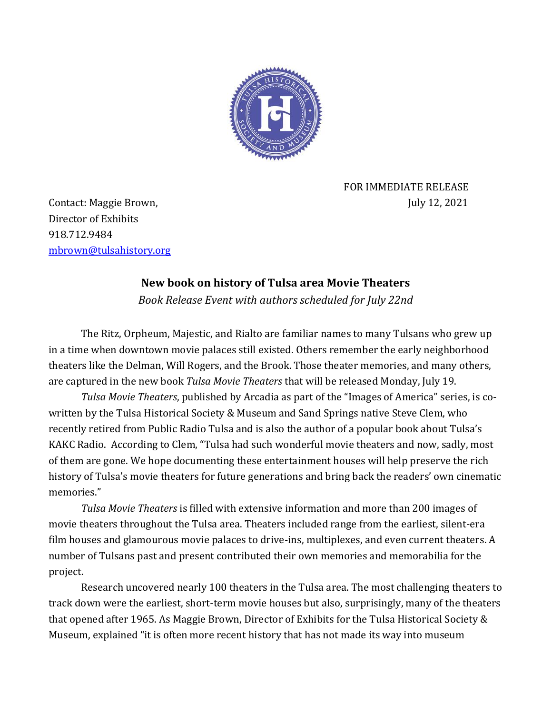

 FOR IMMEDIATE RELEASE Contact: Maggie Brown, July 12, 2021

Director of Exhibits 918.712.9484 [mbrown@tulsahistory.org](mailto:mbrown@tulsahistory.org)

## **New book on history of Tulsa area Movie Theaters**

*Book Release Event with authors scheduled for July 22nd*

The Ritz, Orpheum, Majestic, and Rialto are familiar names to many Tulsans who grew up in a time when downtown movie palaces still existed. Others remember the early neighborhood theaters like the Delman, Will Rogers, and the Brook. Those theater memories, and many others, are captured in the new book *Tulsa Movie Theaters* that will be released Monday, July 19.

*Tulsa Movie Theaters*, published by Arcadia as part of the "Images of America" series, is cowritten by the Tulsa Historical Society & Museum and Sand Springs native Steve Clem, who recently retired from Public Radio Tulsa and is also the author of a popular book about Tulsa's KAKC Radio. According to Clem, "Tulsa had such wonderful movie theaters and now, sadly, most of them are gone. We hope documenting these entertainment houses will help preserve the rich history of Tulsa's movie theaters for future generations and bring back the readers' own cinematic memories."

*Tulsa Movie Theaters* is filled with extensive information and more than 200 images of movie theaters throughout the Tulsa area. Theaters included range from the earliest, silent-era film houses and glamourous movie palaces to drive-ins, multiplexes, and even current theaters. A number of Tulsans past and present contributed their own memories and memorabilia for the project.

Research uncovered nearly 100 theaters in the Tulsa area. The most challenging theaters to track down were the earliest, short-term movie houses but also, surprisingly, many of the theaters that opened after 1965. As Maggie Brown, Director of Exhibits for the Tulsa Historical Society & Museum, explained "it is often more recent history that has not made its way into museum